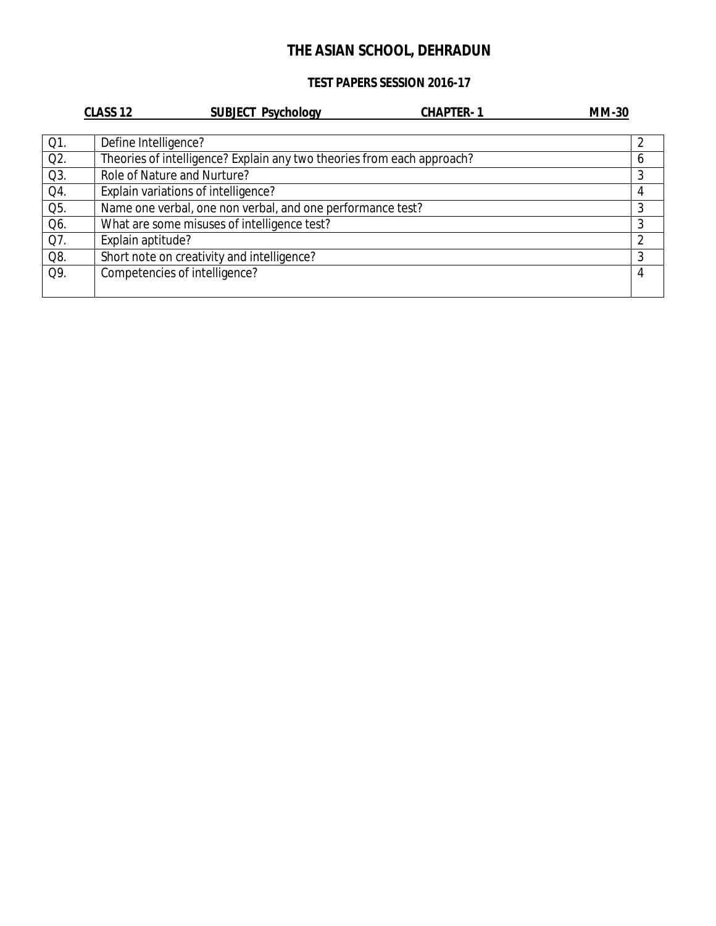### **TEST PAPERS SESSION 2016-17**

|        | CLASS <sub>12</sub>                                                    | <b>SUBJECT Psychology</b> | <b>CHAPTER-1</b> | <b>MM-30</b> |   |
|--------|------------------------------------------------------------------------|---------------------------|------------------|--------------|---|
|        |                                                                        |                           |                  |              |   |
| Q1.    | Define Intelligence?                                                   |                           |                  |              |   |
| $Q2$ . | Theories of intelligence? Explain any two theories from each approach? |                           |                  |              | b |
| $Q3$ . | Role of Nature and Nurture?                                            |                           |                  |              | 3 |
| Q4.    | Explain variations of intelligence?                                    |                           |                  |              | 4 |
| Q5.    | Name one verbal, one non verbal, and one performance test?             |                           |                  |              | 3 |
| Q6.    | What are some misuses of intelligence test?                            |                           |                  |              | 3 |
| Q7.    | Explain aptitude?                                                      |                           |                  |              | 2 |
| Q8.    | Short note on creativity and intelligence?                             |                           |                  |              | 3 |
| Q9.    | Competencies of intelligence?                                          |                           |                  |              | 4 |
|        |                                                                        |                           |                  |              |   |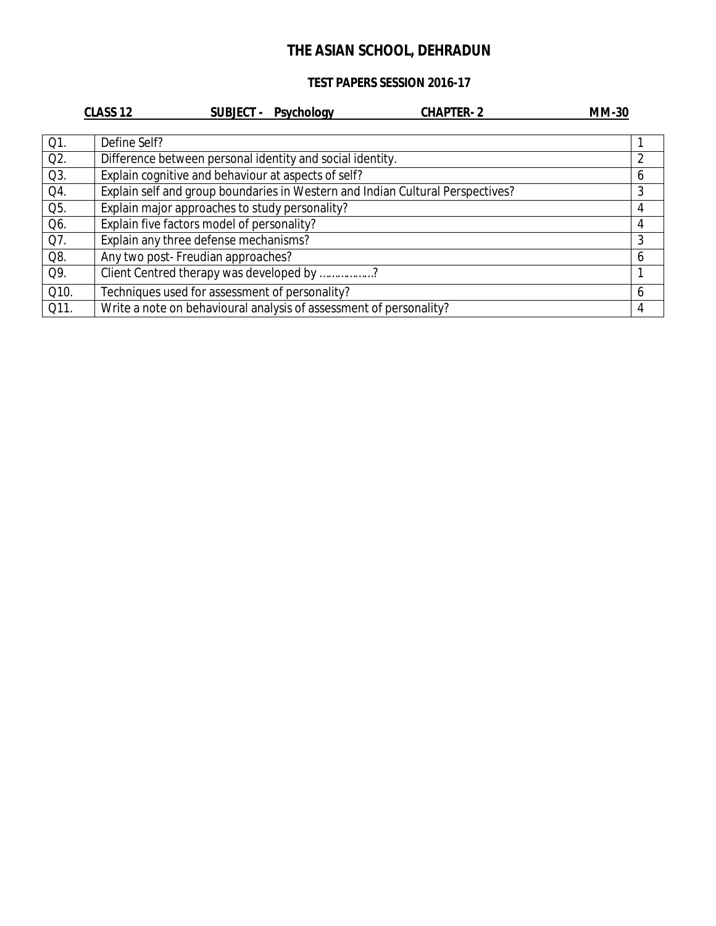### **TEST PAPERS SESSION 2016-17**

|                  | CLASS <sub>12</sub><br><b>CHAPTER-2</b><br>SUBJECT - Psychology                | <b>MM-30</b> |
|------------------|--------------------------------------------------------------------------------|--------------|
| Q1.              | Define Self?                                                                   |              |
| Q <sub>2</sub> . | Difference between personal identity and social identity.                      | 2            |
| $Q3$ .           | Explain cognitive and behaviour at aspects of self?                            | 6            |
| Q4.              | Explain self and group boundaries in Western and Indian Cultural Perspectives? | 3            |
| Q5.              | Explain major approaches to study personality?                                 | 4            |
| Q6.              | Explain five factors model of personality?                                     | 4            |
| Q7.              | Explain any three defense mechanisms?                                          | 3            |
| Q8.              | Any two post- Freudian approaches?                                             | 6            |
| Q9.              | Client Centred therapy was developed by ?                                      |              |
| Q10.             | Techniques used for assessment of personality?                                 | 6            |
| Q11.             | Write a note on behavioural analysis of assessment of personality?             | 4            |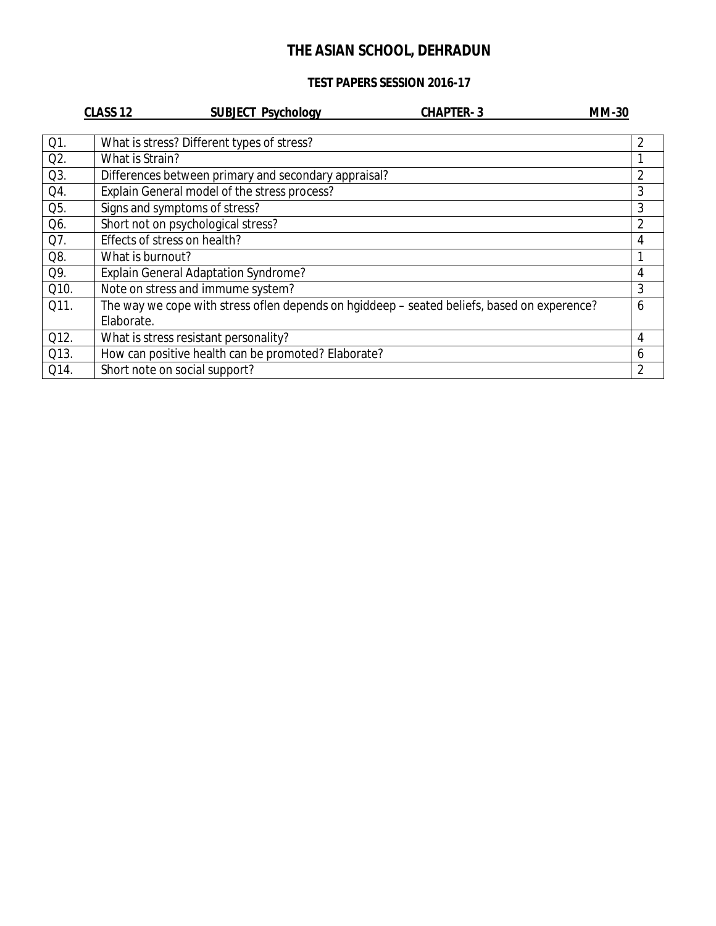### **TEST PAPERS SESSION 2016-17**

|        | CLASS <sub>12</sub>           | <b>SUBJECT Psychology</b>                                                                   | <b>CHAPTER-3</b> | <b>MM-30</b>   |
|--------|-------------------------------|---------------------------------------------------------------------------------------------|------------------|----------------|
|        |                               |                                                                                             |                  |                |
| $Q1$ . |                               | What is stress? Different types of stress?                                                  |                  | 2              |
| Q2.    | What is Strain?               |                                                                                             |                  |                |
| Q3.    |                               | Differences between primary and secondary appraisal?                                        |                  | 2              |
| Q4.    |                               | Explain General model of the stress process?                                                |                  | 3              |
| Q5.    |                               | Signs and symptoms of stress?                                                               |                  | 3              |
| Q6.    |                               | Short not on psychological stress?                                                          |                  | $\overline{2}$ |
| Q7.    | Effects of stress on health?  |                                                                                             |                  | 4              |
| Q8.    | What is burnout?              |                                                                                             |                  |                |
| Q9.    |                               | <b>Explain General Adaptation Syndrome?</b>                                                 |                  | 4              |
| Q10.   |                               | Note on stress and immume system?                                                           |                  | 3              |
| Q11.   |                               | The way we cope with stress oflen depends on hgiddeep - seated beliefs, based on experence? |                  | 6              |
|        | Elaborate.                    |                                                                                             |                  |                |
| Q12.   |                               | What is stress resistant personality?                                                       |                  | 4              |
| Q13.   |                               | How can positive health can be promoted? Elaborate?                                         |                  | 6              |
| Q14.   | Short note on social support? |                                                                                             |                  | 2              |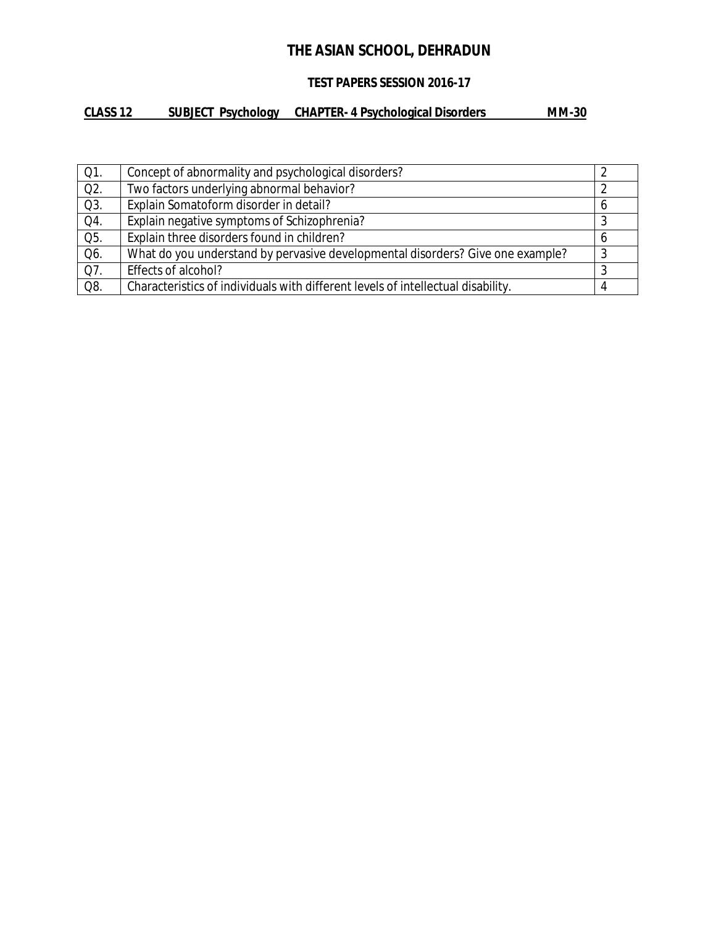## **TEST PAPERS SESSION 2016-17**

## **CLASS 12 SUBJECT Psychology CHAPTER- 4 Psychological Disorders MM-30**

| $Q1$ . | Concept of abnormality and psychological disorders?                              |   |
|--------|----------------------------------------------------------------------------------|---|
| Q2.    | Two factors underlying abnormal behavior?                                        |   |
| Q3.    | Explain Somatoform disorder in detail?                                           | b |
| Q4.    | Explain negative symptoms of Schizophrenia?                                      |   |
| Q5.    | Explain three disorders found in children?                                       |   |
| Q6.    | What do you understand by pervasive developmental disorders? Give one example?   | 3 |
| Q7.    | Effects of alcohol?                                                              |   |
| Q8.    | Characteristics of individuals with different levels of intellectual disability. |   |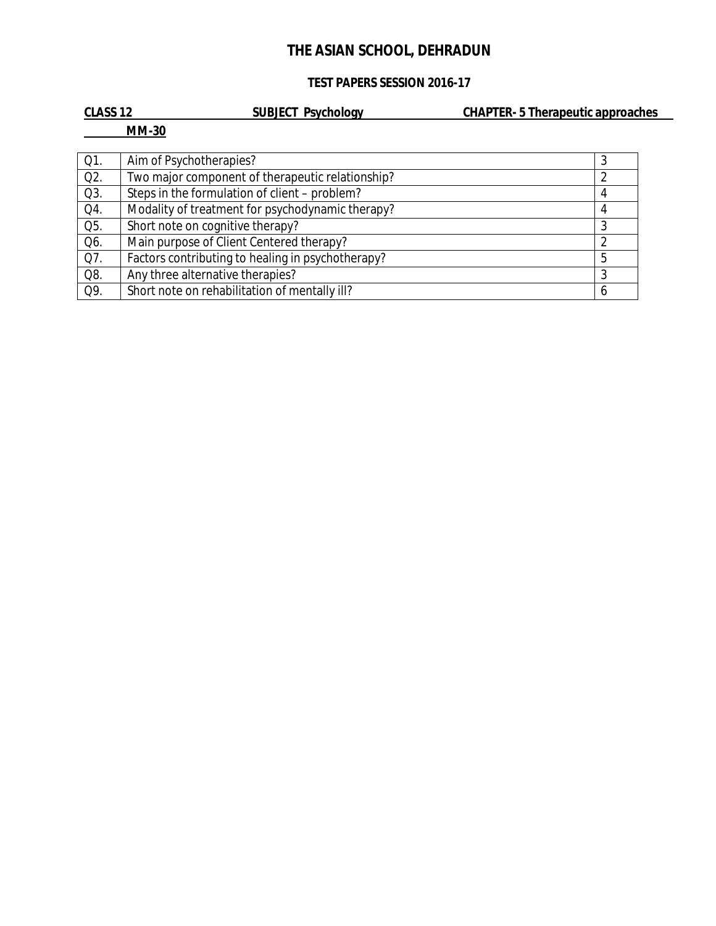## **TEST PAPERS SESSION 2016-17**

| <b>CLASS 12</b> | <b>SUBJECT Psychology</b>                        | <b>CHAPTER-5 Therapeutic approaches</b> |  |
|-----------------|--------------------------------------------------|-----------------------------------------|--|
|                 | <b>MM-30</b>                                     |                                         |  |
|                 |                                                  |                                         |  |
| Q1.             | Aim of Psychotherapies?                          |                                         |  |
| $Q2$ .          | Two major component of therapeutic relationship? |                                         |  |
| Q3.             | Steps in the formulation of client – problem?    |                                         |  |
| Q4.             | Modality of treatment for psychodynamic therapy? |                                         |  |
| Q5.             | Short note on cognitive therapy?                 |                                         |  |
| Q6.             | Main purpose of Client Centered therapy?         |                                         |  |

Q7.  $\,$  | Factors contributing to healing in psychotherapy?  $\,$   $\,$   $\,$  5  $\,$   $\,$  5  $\,$ Q8. Any three alternative therapies?<br>
Q9. Short note on rehabilitation of mentally ill? 6 Short note on rehabilitation of mentally ill?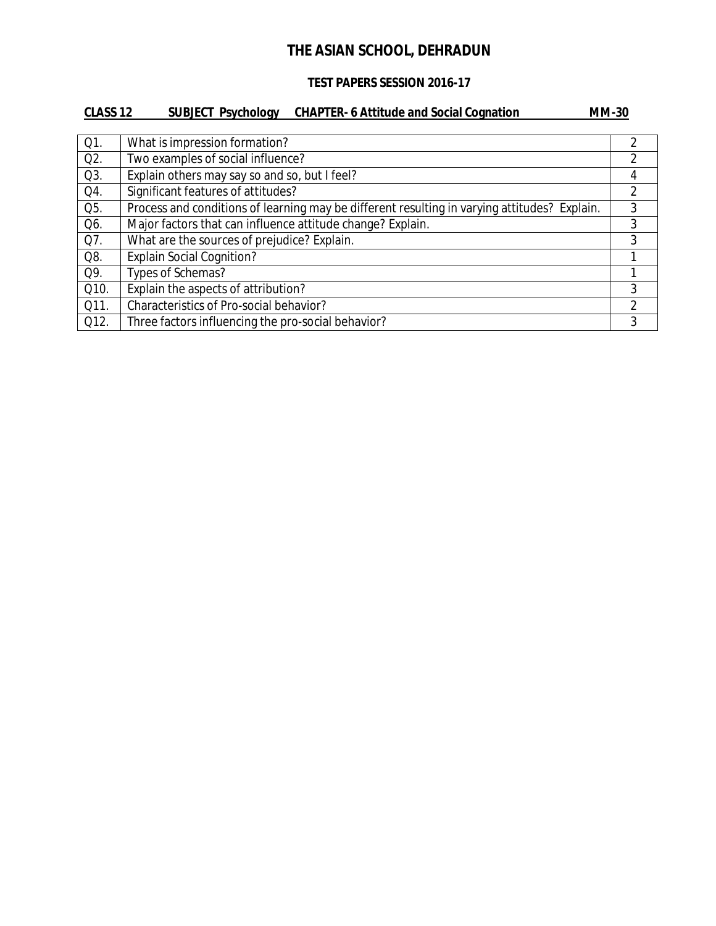#### **TEST PAPERS SESSION 2016-17**

## **CLASS 12 SUBJECT Psychology CHAPTER- 6 Attitude and Social Cognation MM-30** Q1. What is impression formation? Q2. Two examples of social influence? Q3. Explain others may say so and so, but I feel?<br>
Q4. Significant features of attitudes? Q4. Significant features of attitudes? Q5. Process and conditions of learning may be different resulting in varying attitudes? Explain. 3 Q6. Major factors that can influence attitude change? Explain. 2008. All states are set of the state of the states of the states of the states of the states of the states of the states of the states of the states of the st Q7. What are the sources of prejudice? Explain. Q8. Explain Social Cognition? Q9. Types of Schemas? Q10. Explain the aspects of attribution? 2010. The system of a system of  $\sim$  3 Q11. Characteristics of Pro-social behavior? Q12. Three factors influencing the pro-social behavior? 3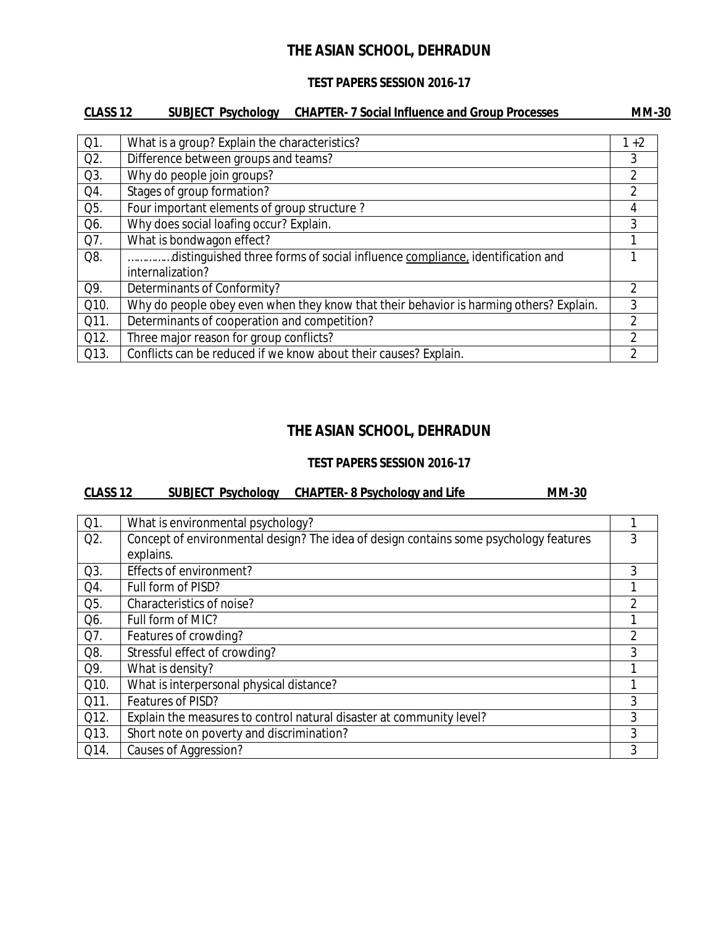### **TEST PAPERS SESSION 2016-17**

## **CLASS 12 SUBJECT Psychology CHAPTER- 7 Social Influence and Group Processes MM-30**

| Q1.  | What is a group? Explain the characteristics?                                          | $1+2$          |
|------|----------------------------------------------------------------------------------------|----------------|
| Q2.  | Difference between groups and teams?                                                   | 3              |
| Q3.  | Why do people join groups?                                                             | 2              |
| Q4.  | Stages of group formation?                                                             | 2              |
| Q5.  | Four important elements of group structure?                                            | 4              |
| Q6.  | Why does social loafing occur? Explain.                                                | 3              |
| Q7.  | What is bondwagon effect?                                                              |                |
| Q8.  | distinguished three forms of social influence compliance, identification and           |                |
|      | internalization?                                                                       |                |
| Q9.  | Determinants of Conformity?                                                            | 2              |
| Q10. | Why do people obey even when they know that their behavior is harming others? Explain. | 3              |
| Q11. | Determinants of cooperation and competition?                                           | $\overline{2}$ |
| Q12. | Three major reason for group conflicts?                                                | $\mathfrak{D}$ |
| Q13. | Conflicts can be reduced if we know about their causes? Explain.                       | 2              |

## **THE ASIAN SCHOOL, DEHRADUN**

#### **TEST PAPERS SESSION 2016-17**

#### **CLASS 12 SUBJECT Psychology CHAPTER- 8 Psychology and Life MM-30**

| Q1.    | What is environmental psychology?                                                     |   |
|--------|---------------------------------------------------------------------------------------|---|
| $Q2$ . | Concept of environmental design? The idea of design contains some psychology features | 3 |
|        | explains.                                                                             |   |
| Q3.    | Effects of environment?                                                               | 3 |
| Q4.    | Full form of PISD?                                                                    | 1 |
| Q5.    | Characteristics of noise?                                                             | 2 |
| Q6.    | Full form of MIC?                                                                     | 1 |
| Q7.    | Features of crowding?                                                                 | 2 |
| Q8.    | Stressful effect of crowding?                                                         | 3 |
| Q9.    | What is density?                                                                      | 1 |
| Q10.   | What is interpersonal physical distance?                                              | 1 |
| Q11.   | Features of PISD?                                                                     | 3 |
| Q12.   | Explain the measures to control natural disaster at community level?                  | 3 |
| Q13.   | Short note on poverty and discrimination?                                             | 3 |
| Q14.   | Causes of Aggression?                                                                 | 3 |